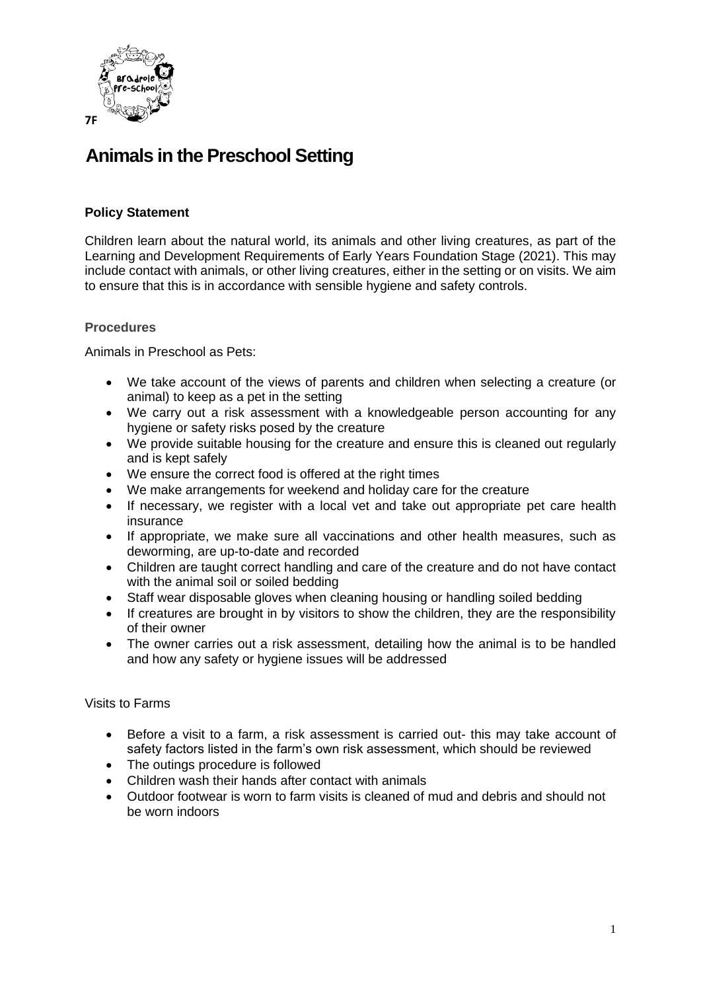

# **Animals in the Preschool Setting**

## **Policy Statement**

Children learn about the natural world, its animals and other living creatures, as part of the Learning and Development Requirements of Early Years Foundation Stage (2021). This may include contact with animals, or other living creatures, either in the setting or on visits. We aim to ensure that this is in accordance with sensible hygiene and safety controls.

#### **Procedures**

Animals in Preschool as Pets:

- We take account of the views of parents and children when selecting a creature (or animal) to keep as a pet in the setting
- We carry out a risk assessment with a knowledgeable person accounting for any hygiene or safety risks posed by the creature
- We provide suitable housing for the creature and ensure this is cleaned out regularly and is kept safely
- We ensure the correct food is offered at the right times
- We make arrangements for weekend and holiday care for the creature
- If necessary, we register with a local vet and take out appropriate pet care health insurance
- If appropriate, we make sure all vaccinations and other health measures, such as deworming, are up-to-date and recorded
- Children are taught correct handling and care of the creature and do not have contact with the animal soil or soiled bedding
- Staff wear disposable gloves when cleaning housing or handling soiled bedding
- If creatures are brought in by visitors to show the children, they are the responsibility of their owner
- The owner carries out a risk assessment, detailing how the animal is to be handled and how any safety or hygiene issues will be addressed

#### Visits to Farms

- Before a visit to a farm, a risk assessment is carried out- this may take account of safety factors listed in the farm's own risk assessment, which should be reviewed
- The outings procedure is followed
- Children wash their hands after contact with animals
- Outdoor footwear is worn to farm visits is cleaned of mud and debris and should not be worn indoors